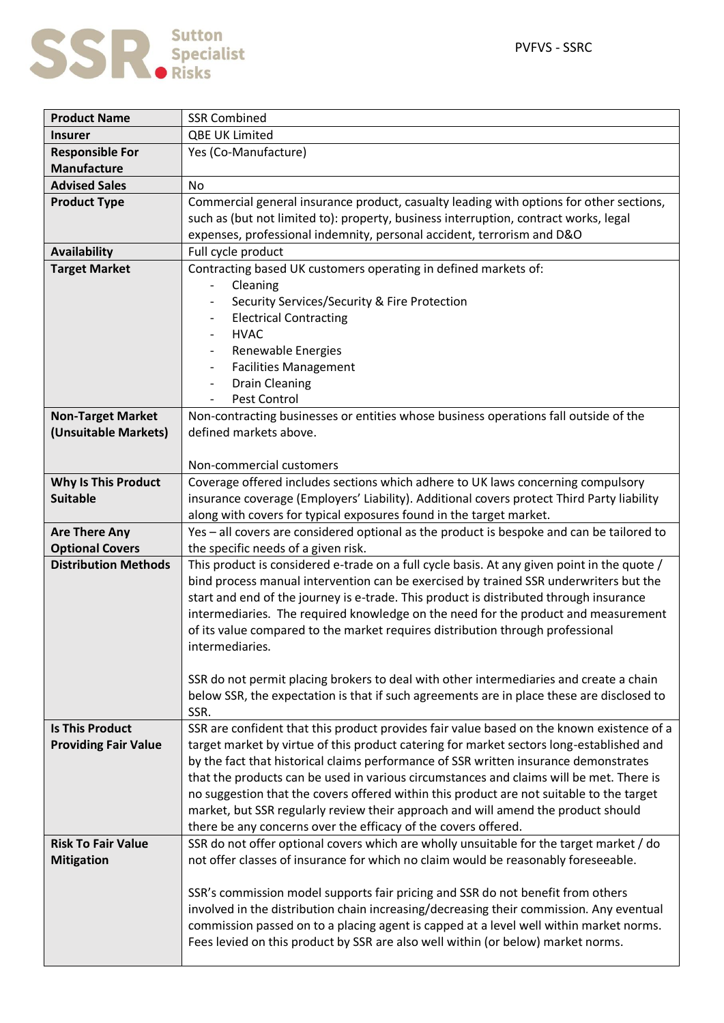| <b>Product Name</b>         | <b>SSR Combined</b>                                                                         |
|-----------------------------|---------------------------------------------------------------------------------------------|
| Insurer                     | QBE UK Limited                                                                              |
| <b>Responsible For</b>      | Yes (Co-Manufacture)                                                                        |
| <b>Manufacture</b>          |                                                                                             |
| <b>Advised Sales</b>        | No                                                                                          |
| <b>Product Type</b>         | Commercial general insurance product, casualty leading with options for other sections,     |
|                             | such as (but not limited to): property, business interruption, contract works, legal        |
|                             | expenses, professional indemnity, personal accident, terrorism and D&O                      |
| <b>Availability</b>         | Full cycle product                                                                          |
| <b>Target Market</b>        | Contracting based UK customers operating in defined markets of:                             |
|                             | Cleaning                                                                                    |
|                             | Security Services/Security & Fire Protection                                                |
|                             | <b>Electrical Contracting</b><br>$\overline{\phantom{a}}$                                   |
|                             | <b>HVAC</b><br>$\overline{\phantom{a}}$                                                     |
|                             | Renewable Energies                                                                          |
|                             | <b>Facilities Management</b><br>$\overline{\phantom{a}}$                                    |
|                             | <b>Drain Cleaning</b>                                                                       |
|                             | Pest Control                                                                                |
| <b>Non-Target Market</b>    | Non-contracting businesses or entities whose business operations fall outside of the        |
| (Unsuitable Markets)        | defined markets above.                                                                      |
|                             |                                                                                             |
|                             | Non-commercial customers                                                                    |
| <b>Why Is This Product</b>  | Coverage offered includes sections which adhere to UK laws concerning compulsory            |
| <b>Suitable</b>             | insurance coverage (Employers' Liability). Additional covers protect Third Party liability  |
|                             | along with covers for typical exposures found in the target market.                         |
| <b>Are There Any</b>        | Yes - all covers are considered optional as the product is bespoke and can be tailored to   |
| <b>Optional Covers</b>      | the specific needs of a given risk.                                                         |
| <b>Distribution Methods</b> | This product is considered e-trade on a full cycle basis. At any given point in the quote / |
|                             | bind process manual intervention can be exercised by trained SSR underwriters but the       |
|                             | start and end of the journey is e-trade. This product is distributed through insurance      |
|                             | intermediaries. The required knowledge on the need for the product and measurement          |
|                             | of its value compared to the market requires distribution through professional              |
|                             | intermediaries.                                                                             |
|                             |                                                                                             |
|                             | SSR do not permit placing brokers to deal with other intermediaries and create a chain      |
|                             | below SSR, the expectation is that if such agreements are in place these are disclosed to   |
|                             | SSR.                                                                                        |
| <b>Is This Product</b>      | SSR are confident that this product provides fair value based on the known existence of a   |
| <b>Providing Fair Value</b> | target market by virtue of this product catering for market sectors long-established and    |
|                             | by the fact that historical claims performance of SSR written insurance demonstrates        |
|                             | that the products can be used in various circumstances and claims will be met. There is     |
|                             | no suggestion that the covers offered within this product are not suitable to the target    |
|                             | market, but SSR regularly review their approach and will amend the product should           |
|                             | there be any concerns over the efficacy of the covers offered.                              |
| <b>Risk To Fair Value</b>   | SSR do not offer optional covers which are wholly unsuitable for the target market / do     |
| <b>Mitigation</b>           | not offer classes of insurance for which no claim would be reasonably foreseeable.          |
|                             |                                                                                             |
|                             | SSR's commission model supports fair pricing and SSR do not benefit from others             |
|                             | involved in the distribution chain increasing/decreasing their commission. Any eventual     |
|                             | commission passed on to a placing agent is capped at a level well within market norms.      |
|                             | Fees levied on this product by SSR are also well within (or below) market norms.            |
|                             |                                                                                             |